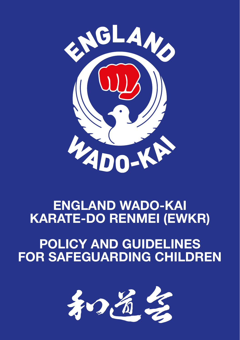

# **ENGLAND WADO-KAI KARATE-DO RENMEI (EWKR)**

# **POLICY AND GUIDELINES FOR SAFEGUARDING CHILDREN**

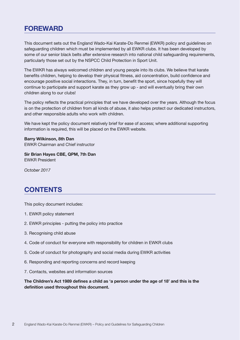# **FOREWARD**

This document sets out the England Wado-Kai Karate-Do Renmei (EWKR) policy and guidelines on safeguarding children which must be implemented by all EWKR clubs. It has been developed by some of our senior black belts after extensive research into national child safeguarding requirements, particularly those set out by the NSPCC Child Protection in Sport Unit.

The EWKR has always welcomed children and young people into its clubs. We believe that karate benefits children, helping to develop their physical fitness, aid concentration, build confidence and encourage positive social interactions. They, in turn, benefit the sport, since hopefully they will continue to participate and support karate as they grow up - and will eventually bring their own children along to our clubs!

The policy reflects the practical principles that we have developed over the years. Although the focus is on the protection of children from all kinds of abuse, it also helps protect our dedicated instructors, and other responsible adults who work with children.

We have kept the policy document relatively brief for ease of access; where additional supporting information is required, this will be placed on the EWKR website.

**Barry Wilkinson, 8th Dan** EWKR Chairman and Chief instructor

**Sir Brian Hayes CBE, QPM, 7th Dan** EWKR President

*October 2017* 

# **CONTENTS**

This policy document includes:

- 1. EWKR policy statement
- 2. EWKR principles putting the policy into practice
- 3. Recognising child abuse
- 4. Code of conduct for everyone with responsibility for children in EWKR clubs
- 5. Code of conduct for photography and social media during EWKR activities
- 6. Responding and reporting concerns and record keeping
- 7. Contacts, websites and information sources

**The Children's Act 1989 defines a child as 'a person under the age of 18' and this is the definition used throughout this document.**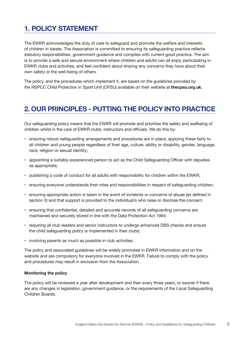# **1. POLICY STATEMENT**

The EWKR acknowledges the duty of care to safeguard and promote the welfare and interests of children in karate. The Association is committed to ensuring its safeguarding practice reflects statutory responsibilities, government guidance and complies with current good practice. The aim is to provide a safe and secure environment where children and adults can all enjoy participating in EWKR clubs and activities, and feel confident about sharing any concerns they have about their own safety or the well-being of others.

The policy, and the procedures which implement it, are based on the guidelines provided by the NSPCC Child Protection in Sport Unit (CPSU) available on their website at **thecpsu.org.uk**.

## **2. OUR PRINCIPLES - PUTTING THE POLICY INTO PRACTICE**

Our safeguarding policy means that the EWKR will promote and prioritise the safety and wellbeing of children whilst in the care of EWKR clubs, instructors and officials. We do this by:

- ensuring robust safeguarding arrangements and procedures are in place, applying these fairly to all children and young people regardless of their age, culture, ability or disability, gender, language, race, religion or sexual identity;
- appointing a suitably experienced person to act as the Child Safeguarding Officer with deputies as appropriate;
- publishing a code of conduct for all adults with responsibility for children within the EWKR;
- ensuring everyone understands their roles and responsibilities in respect of safeguarding children;
- ensuring appropriate action is taken in the event of incidents or concerns of abuse (*as defined in section 3*) and that support is provided to the individual/s who raise or disclose the concern;
- ensuring that confidential, detailed and accurate records of all safeguarding concerns are maintained and securely stored in line with the Data Protection Act 1984;
- requiring all club leaders and senior instructors to undergo enhanced DBS checks and ensure the child safeguarding policy is implemented in their clubs;
- involving parents as much as possible in club activities.

The policy and associated guidelines will be widely promoted in EWKR information and on the website and are compulsory for everyone involved in the EWKR. Failure to comply with the policy and procedures may result in exclusion from the Association.

## **Monitoring the policy**

The policy will be reviewed a year after development and then every three years, or sooner if there are any changes in legislation, government guidance, or the requirements of the Local Safeguarding Children Boards.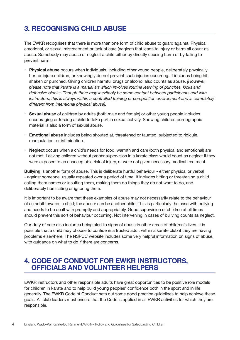# **3. RECOGNISING CHILD ABUSE**

The EWKR recognises that there is more than one form of child abuse to guard against. Physical, emotional, or sexual mistreatment or lack of care (neglect) that leads to injury or harm all count as abuse. Somebody may abuse or neglect a child either by directly causing harm or by failing to prevent harm.

- **Physical abuse** occurs when individuals, including other young people, deliberately physically hurt or injure children, or knowingly do not prevent such injuries occurring. It includes being hit, shaken or punched. Giving children harmful drugs or alcohol also counts as abuse. *[However, please note that karate is a martial art which involves routine learning of punches, kicks and defensive blocks. Though there may inevitably be some contact between participants and with instructors, this is always within a controlled training or competition environment and is completely different from intentional physical abuse].*
- **Sexual abuse** of children by adults (both male and female) or other young people includes encouraging or forcing a child to take part in sexual activity. Showing children pornographic material is also a form of sexual abuse.
- **Emotional abuse** includes being shouted at, threatened or taunted, subjected to ridicule, manipulation, or intimidation.
- **Neglect** occurs when a child's needs for food, warmth and care (both physical and emotional) are not met. Leaving children without proper supervision in a karate class would count as neglect if they were exposed to an unacceptable risk of injury, or were not given necessary medical treatment.

**Bullying** is another form of abuse. This is deliberate hurtful behaviour - either physical or verbal - against someone, usually repeated over a period of time. It includes hitting or threatening a child, calling them names or insulting them, making them do things they do not want to do, and deliberately humiliating or ignoring them.

It is important to be aware that these examples of abuse may not necessarily relate to the behaviour of an adult towards a child; the abuser can be another child. This is particularly the case with bullying and needs to be dealt with promptly and appropriately. Good supervision of children at all times should prevent this sort of behaviour occurring. Not intervening in cases of bullying counts as neglect.

Our duty of care also includes being alert to signs of abuse in other areas of children's lives. It is possible that a child may choose to confide in a trusted adult within a karate club if they are having problems elsewhere. The NSPCC website includes some very helpful information on signs of abuse, with guidance on what to do if there are concerns.

## **4. CODE OF CONDUCT FOR EWKR INSTRUCTORS, OFFICIALS AND VOLUNTEER HELPERS**

EWKR instructors and other responsible adults have great opportunities to be positive role models for children in karate and to help build young peoples' confidence both in the sport and in life generally. The EWKR Code of Conduct sets out some good practice guidelines to help achieve these goals. All club leaders must ensure that the Code is applied in all EWKR activities for which they are responsible.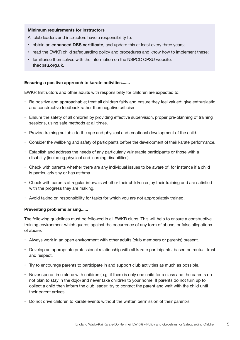## **Minimum requirements for instructors**

All club leaders and instructors have a responsibility to:

- obtain an **enhanced DBS certificate**, and update this at least every three years;
- read the EWKR child safeguarding policy and procedures and know how to implement these;
- familiarise themselves with the information on the NSPCC CPSU website: **thecpsu.org.uk**.

## **Ensuring a positive approach to karate activities.......**

EWKR Instructors and other adults with responsibility for children are expected to:

- Be positive and approachable; treat all children fairly and ensure they feel valued; give enthusiastic and constructive feedback rather than negative criticism.
- Ensure the safety of all children by providing effective supervision, proper pre-planning of training sessions, using safe methods at all times.
- Provide training suitable to the age and physical and emotional development of the child.
- Consider the wellbeing and safety of participants before the development of their karate performance.
- Establish and address the needs of any particularly vulnerable participants or those with a disability (including physical and learning disabilities).
- Check with parents whether there are any individual issues to be aware of, for instance if a child is particularly shy or has asthma.
- Check with parents at regular intervals whether their children enjoy their training and are satisfied with the progress they are making.
- Avoid taking on responsibility for tasks for which you are not appropriately trained.

## **Preventing problems arising......**

The following guidelines must be followed in all EWKR clubs. This will help to ensure a constructive training environment which guards against the occurrence of any form of abuse, or false allegations of abuse.

- Always work in an open environment with other adults (club members or parents) present.
- Develop an appropriate professional relationship with all karate participants, based on mutual trust and respect.
- Try to encourage parents to participate in and support club activities as much as possible.
- Never spend time alone with children (e.g. if there is only one child for a class and the parents do not plan to stay in the dojo) and never take children to your home. If parents do not turn up to collect a child then inform the club leader; try to contact the parent and wait with the child until their parent arrives.
- Do not drive children to karate events without the written permission of their parent/s.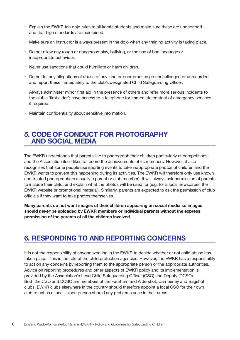- Explain the EWKR ten dojo rules to all karate students and make sure these are understood and that high standards are maintained.
- Make sure an instructor is always present in the dojo when any training activity is taking place.
- Do not allow any rough or dangerous play, bullying, or the use of bad language or inappropriate behaviour.
- Never use sanctions that could humiliate or harm children.
- Do not let any allegations of abuse of any kind or poor practice go unchallenged or unrecorded and report these immediately to the club's designated Child Safeguarding Officer.
- Always administer minor first aid in the presence of others and refer more serious incidents to the club's 'first aider'; have access to a telephone for immediate contact of emergency services if required.
- Maintain confidentiality about sensitive information.

## **5. CODE OF CONDUCT FOR PHOTOGRAPHY AND SOCIAL MEDIA**

The EWKR understands that parents like to photograph their children particularly at competitions, and the Association itself likes to record the achievements of its members. However, it also recognises that some people use sporting events to take inappropriate photos of children and the EWKR wants to prevent this happening during its activities. The EWKR will therefore only use known and trusted photographers (usually a parent or club member). It will always ask permission of parents to include their child, and explain what the photos will be used for (e.g. for a local newspaper, the EWKR website or promotional material). Similarly, parents are expected to ask the permission of club officials if they want to take photos themselves.

**Many parents do not want images of their children appearing on social media so images should** *never* **be uploaded by EWKR members or individual parents without the express permission of the parents of all the children involved.**

## **6. RESPONDING TO AND REPORTING CONCERNS**

It is not the responsibility of anyone working in the EWKR to decide whether or not child abuse has taken place - this is the role of the child protection agencies. However, the EWKR has a responsibility to act on any concerns by reporting them to the appropriate person or the appropriate authorities. Advice on reporting procedures and other aspects of EWKR policy and its implementation is provided by the Association's Lead Child Safeguarding Officer (CSO) and Deputy (DCSO). Both the CSO and DCSO are members of the Farnham and Aldershot, Camberley and Bagshot clubs. EWKR clubs elsewhere in the country should therefore appoint a local CSO for their own club to act as a local liaison person should any problems arise in their areas.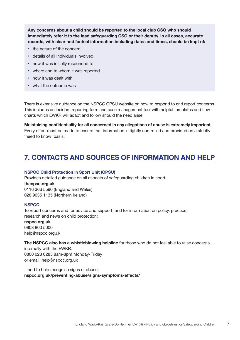**Any concerns about a child should be reported to the local club CSO who should immediately refer it to the lead safeguarding CSO or their deputy. In all cases, accurate records, with clear and factual information including dates and times, should be kept of:**

- the nature of the concern
- details of all individuals involved
- how it was initially responded to
- where and to whom it was reported
- how it was dealt with
- what the outcome was

There is extensive guidance on the NSPCC CPSU website on how to respond to and report concerns. This includes an incident reporting form and case management tool with helpful templates and flow charts which EWKR will adapt and follow should the need arise.

**Maintaining confidentiality for all concerned in any allegations of abuse is extremely important.**  Every effort must be made to ensure that information is tightly controlled and provided on a strictly 'need to know' basis.

## **7. CONTACTS AND SOURCES OF INFORMATION AND HELP**

#### **NSPCC Child Protection in Sport Unit (CPSU)**

Provides detailed guidance on all aspects of safeguarding children in sport:

## **thecpsu.org.uk**

0116 366 5590 (England and Wales) 028 9035 1135 (Northern Ireland)

## **NSPCC**

To report concerns and for advice and support; and for information on policy, practice, research and news on child protection:

## **nspcc.org.uk**

0808 800 5000 help@nspcc.org.uk

**The NSPCC also has a whistleblowing helpline** for those who do not feel able to raise concerns

internally with the EWKR. 0800 028 0285 8am-8pm Monday-Friday or email: help@nspcc.org.uk

...and to help recognise signs of abuse: **nspcc.org.uk/preventing-abuse/signs-symptoms-effects/**